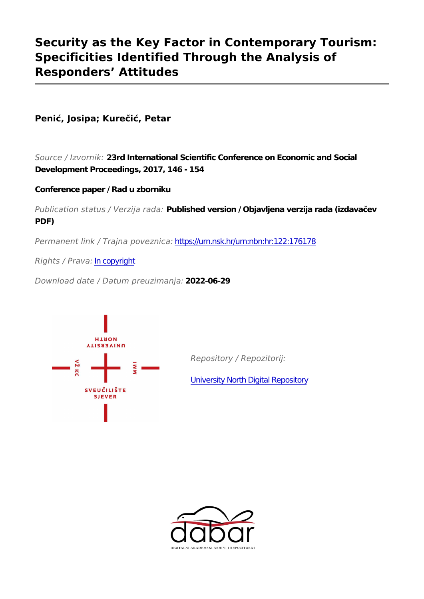# **Security as the Key Factor in Contemporary Tourism: Specificities Identified Through the Analysis of Responders' Attitudes**

# **Penić, Josipa; Kurečić, Petar**

*Source / Izvornik:* **23rd International Scientific Conference on Economic and Social Development Proceedings, 2017, 146 - 154**

# **Conference paper / Rad u zborniku**

*Publication status / Verzija rada:* **Published version / Objavljena verzija rada (izdavačev PDF)**

*Permanent link / Trajna poveznica:* <https://urn.nsk.hr/urn:nbn:hr:122:176178>

*Rights / Prava:* [In copyright](http://rightsstatements.org/vocab/InC/1.0/)

*Download date / Datum preuzimanja:* **2022-06-29**



*Repository / Repozitorij:*

[University North Digital Repository](https://repozitorij.unin.hr)

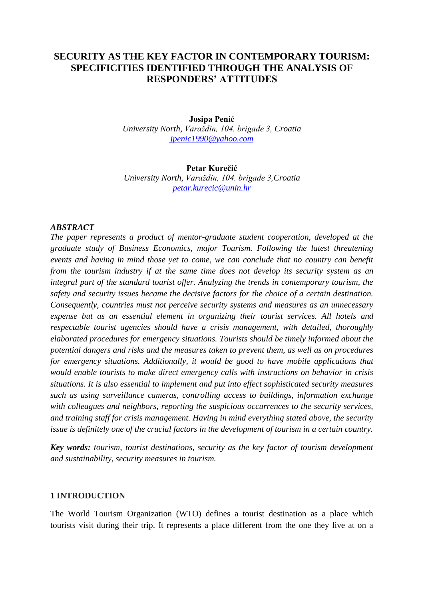# **SECURITY AS THE KEY FACTOR IN CONTEMPORARY TOURISM: SPECIFICITIES IDENTIFIED THROUGH THE ANALYSIS OF RESPONDERS' ATTITUDES**

## **Josipa Penić** *University North, Varaždin, 104. brigade 3, Croatia [jpenic1990@yahoo.com](mailto:jpenic1990@yahoo.com)*

#### **Petar Kurečić** *University North, Varaždin, 104. brigade 3,Croatia [petar.kurecic@unin.hr](mailto:petar.kurecic@unin.hr)*

## *ABSTRACT*

*The paper represents a product of mentor-graduate student cooperation, developed at the graduate study of Business Economics, major Tourism. Following the latest threatening events and having in mind those yet to come, we can conclude that no country can benefit from the tourism industry if at the same time does not develop its security system as an integral part of the standard tourist offer. Analyzing the trends in contemporary tourism, the safety and security issues became the decisive factors for the choice of a certain destination. Consequently, countries must not perceive security systems and measures as an unnecessary expense but as an essential element in organizing their tourist services. All hotels and respectable tourist agencies should have a crisis management, with detailed, thoroughly elaborated procedures for emergency situations. Tourists should be timely informed about the potential dangers and risks and the measures taken to prevent them, as well as on procedures for emergency situations. Additionally, it would be good to have mobile applications that would enable tourists to make direct emergency calls with instructions on behavior in crisis situations. It is also essential to implement and put into effect sophisticated security measures such as using surveillance cameras, controlling access to buildings, information exchange with colleagues and neighbors, reporting the suspicious occurrences to the security services, and training staff for crisis management. Having in mind everything stated above, the security issue is definitely one of the crucial factors in the development of tourism in a certain country.*

*Key words: tourism, tourist destinations, security as the key factor of tourism development and sustainability, security measures in tourism.*

#### **1 INTRODUCTION**

The World Tourism Organization (WTO) defines a tourist destination as a place which tourists visit during their trip. It represents a place different from the one they live at on a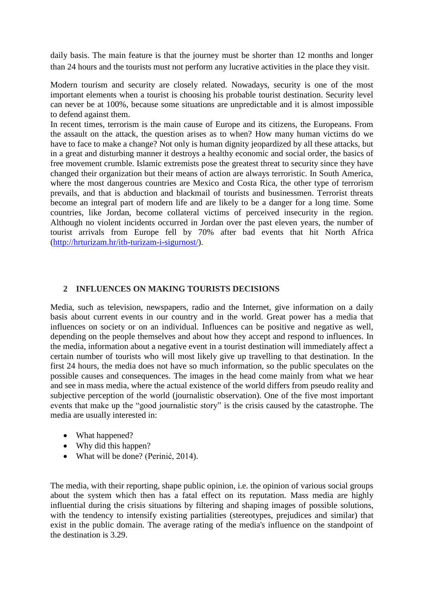daily basis. The main feature is that the journey must be shorter than 12 months and longer than 24 hours and the tourists must not perform any lucrative activities in the place they visit.

Modern tourism and security are closely related. Nowadays, security is one of the most important elements when a tourist is choosing his probable tourist destination. Security level can never be at 100%, because some situations are unpredictable and it is almost impossible to defend against them.

In recent times, terrorism is the main cause of Europe and its citizens, the Europeans. From the assault on the attack, the question arises as to when? How many human victims do we have to face to make a change? Not only is human dignity jeopardized by all these attacks, but in a great and disturbing manner it destroys a healthy economic and social order, the basics of free movement crumble. Islamic extremists pose the greatest threat to security since they have changed their organization but their means of action are always terroristic. In South America, where the most dangerous countries are Mexico and Costa Rica, the other type of terrorism prevails, and that is abduction and blackmail of tourists and businessmen. Terrorist threats become an integral part of modern life and are likely to be a danger for a long time. Some countries, like Jordan, become collateral victims of perceived insecurity in the region. Although no violent incidents occurred in Jordan over the past eleven years, the number of tourist arrivals from Europe fell by 70% after bad events that hit North Africa [\(http://hrturizam.hr/itb-turizam-i-sigurnost/\)](http://hrturizam.hr/itb-turizam-i-sigurnost/).

## **2 INFLUENCES ON MAKING TOURISTS DECISIONS**

Media, such as television, newspapers, radio and the Internet, give information on a daily basis about current events in our country and in the world. Great power has a media that influences on society or on an individual. Influences can be positive and negative as well, depending on the people themselves and about how they accept and respond to influences. In the media, information about a negative event in a tourist destination will immediately affect a certain number of tourists who will most likely give up travelling to that destination. In the first 24 hours, the media does not have so much information, so the public speculates on the possible causes and consequences. The images in the head come mainly from what we hear and see in mass media, where the actual existence of the world differs from pseudo reality and subjective perception of the world (journalistic observation). One of the five most important events that make up the "good journalistic story" is the crisis caused by the catastrophe. The media are usually interested in:

- What happened?
- Why did this happen?
- What will be done? (Perinić, 2014).

The media, with their reporting, shape public opinion, i.e. the opinion of various social groups about the system which then has a fatal effect on its reputation. Mass media are highly influential during the crisis situations by filtering and shaping images of possible solutions, with the tendency to intensify existing partialities (stereotypes, prejudices and similar) that exist in the public domain. The average rating of the media's influence on the standpoint of the destination is 3.29.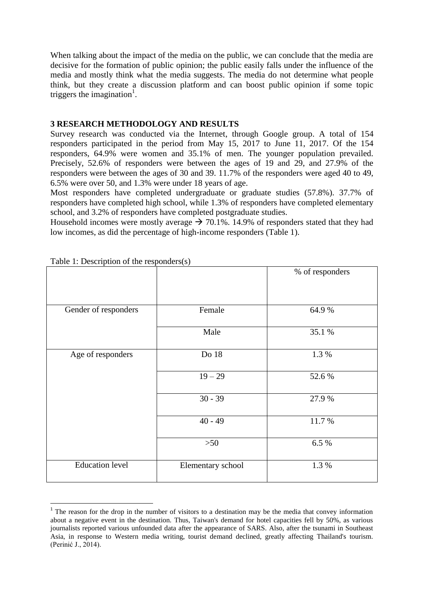When talking about the impact of the media on the public, we can conclude that the media are decisive for the formation of public opinion; the public easily falls under the influence of the media and mostly think what the media suggests. The media do not determine what people think, but they create a discussion platform and can boost public opinion if some topic triggers the imagination<sup>1</sup>.

## **3 RESEARCH METHODOLOGY AND RESULTS**

Survey research was conducted via the Internet, through Google group. A total of 154 responders participated in the period from May 15, 2017 to June 11, 2017. Of the 154 responders, 64.9% were women and 35.1% of men. The younger population prevailed. Precisely, 52.6% of responders were between the ages of 19 and 29, and 27.9% of the responders were between the ages of 30 and 39. 11.7% of the responders were aged 40 to 49, 6.5% were over 50, and 1.3% were under 18 years of age.

Most responders have completed undergraduate or graduate studies (57.8%). 37.7% of responders have completed high school, while 1.3% of responders have completed elementary school, and 3.2% of responders have completed postgraduate studies.

Household incomes were mostly average  $\rightarrow$  70.1%. 14.9% of responders stated that they had low incomes, as did the percentage of high-income responders (Table 1).

|                        |                   | % of responders |
|------------------------|-------------------|-----------------|
| Gender of responders   | Female            | 64.9%           |
|                        | Male              | 35.1 %          |
| Age of responders      | Do 18             | 1.3 %           |
|                        | $19 - 29$         | 52.6%           |
|                        | $30 - 39$         | 27.9 %          |
|                        | $40 - 49$         | 11.7%           |
|                        | $>50$             | 6.5 %           |
| <b>Education</b> level | Elementary school | 1.3%            |

Table 1: Description of the responders(s)

**.** 

<sup>&</sup>lt;sup>1</sup> The reason for the drop in the number of visitors to a destination may be the media that convey information about a negative event in the destination. Thus, Taiwan's demand for hotel capacities fell by 50%, as various journalists reported various unfounded data after the appearance of SARS. Also, after the tsunami in Southeast Asia, in response to Western media writing, tourist demand declined, greatly affecting Thailand's tourism. (Perinić J., 2014).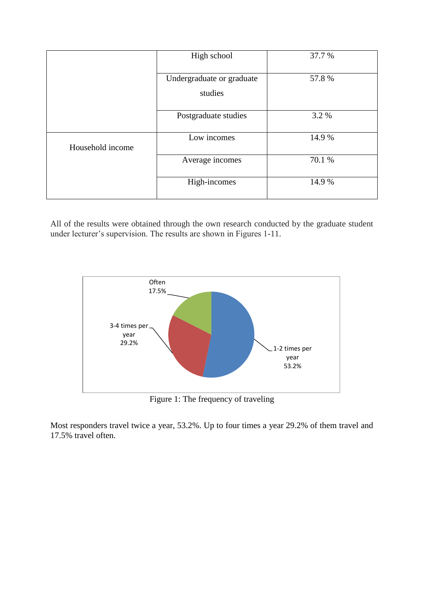|                  | High school               | 37.7 % |
|------------------|---------------------------|--------|
|                  | Undergraduate or graduate | 57.8%  |
|                  | studies                   |        |
|                  | Postgraduate studies      | 3.2 %  |
| Household income | Low incomes               | 14.9 % |
|                  | Average incomes           | 70.1 % |
|                  | High-incomes              | 14.9%  |

All of the results were obtained through the own research conducted by the graduate student under lecturer's supervision. The results are shown in Figures 1-11.



Figure 1: The frequency of traveling

Most responders travel twice a year, 53.2%. Up to four times a year 29.2% of them travel and 17.5% travel often.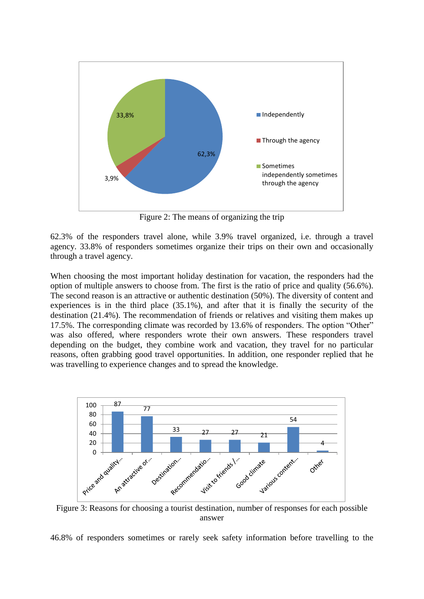

Figure 2: The means of organizing the trip

62.3% of the responders travel alone, while 3.9% travel organized, i.e. through a travel agency. 33.8% of responders sometimes organize their trips on their own and occasionally through a travel agency.

When choosing the most important holiday destination for vacation, the responders had the option of multiple answers to choose from. The first is the ratio of price and quality (56.6%). The second reason is an attractive or authentic destination (50%). The diversity of content and experiences is in the third place (35.1%), and after that it is finally the security of the destination (21.4%). The recommendation of friends or relatives and visiting them makes up 17.5%. The corresponding climate was recorded by 13.6% of responders. The option "Other" was also offered, where responders wrote their own answers. These responders travel depending on the budget, they combine work and vacation, they travel for no particular reasons, often grabbing good travel opportunities. In addition, one responder replied that he was travelling to experience changes and to spread the knowledge.



Figure 3: Reasons for choosing a tourist destination, number of responses for each possible answer

46.8% of responders sometimes or rarely seek safety information before travelling to the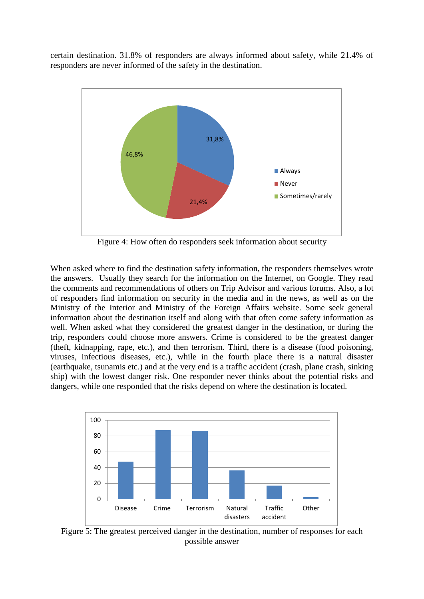certain destination. 31.8% of responders are always informed about safety, while 21.4% of responders are never informed of the safety in the destination.



Figure 4: How often do responders seek information about security

When asked where to find the destination safety information, the responders themselves wrote the answers. Usually they search for the information on the Internet, on Google. They read the comments and recommendations of others on Trip Advisor and various forums. Also, a lot of responders find information on security in the media and in the news, as well as on the Ministry of the Interior and Ministry of the Foreign Affairs website. Some seek general information about the destination itself and along with that often come safety information as well. When asked what they considered the greatest danger in the destination, or during the trip, responders could choose more answers. Crime is considered to be the greatest danger (theft, kidnapping, rape, etc.), and then terrorism. Third, there is a disease (food poisoning, viruses, infectious diseases, etc.), while in the fourth place there is a natural disaster (earthquake, tsunamis etc.) and at the very end is a traffic accident (crash, plane crash, sinking ship) with the lowest danger risk. One responder never thinks about the potential risks and dangers, while one responded that the risks depend on where the destination is located.



Figure 5: The greatest perceived danger in the destination, number of responses for each possible answer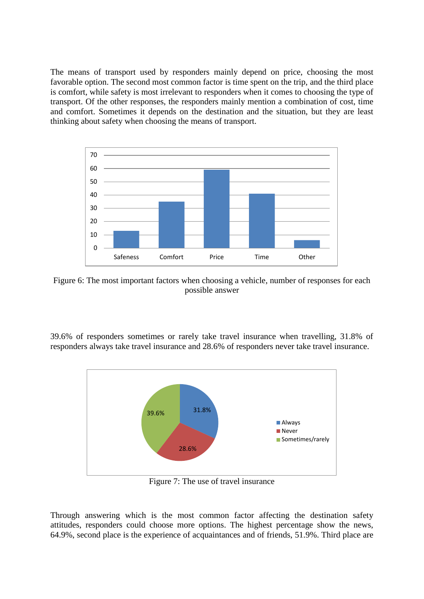The means of transport used by responders mainly depend on price, choosing the most favorable option. The second most common factor is time spent on the trip, and the third place is comfort, while safety is most irrelevant to responders when it comes to choosing the type of transport. Of the other responses, the responders mainly mention a combination of cost, time and comfort. Sometimes it depends on the destination and the situation, but they are least thinking about safety when choosing the means of transport.



Figure 6: The most important factors when choosing a vehicle, number of responses for each possible answer

39.6% of responders sometimes or rarely take travel insurance when travelling, 31.8% of responders always take travel insurance and 28.6% of responders never take travel insurance.



Figure 7: The use of travel insurance

Through answering which is the most common factor affecting the destination safety attitudes, responders could choose more options. The highest percentage show the news, 64.9%, second place is the experience of acquaintances and of friends, 51.9%. Third place are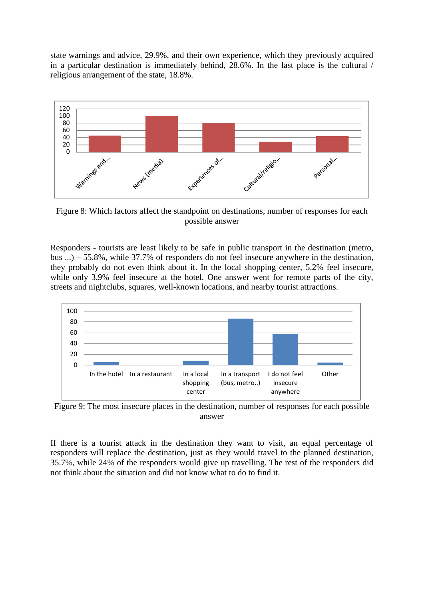state warnings and advice, 29.9%, and their own experience, which they previously acquired in a particular destination is immediately behind, 28.6%. In the last place is the cultural / religious arrangement of the state, 18.8%.



Figure 8: Which factors affect the standpoint on destinations, number of responses for each possible answer

Responders - tourists are least likely to be safe in public transport in the destination (metro, bus ...) – 55.8%, while 37.7% of responders do not feel insecure anywhere in the destination, they probably do not even think about it. In the local shopping center, 5.2% feel insecure, while only 3.9% feel insecure at the hotel. One answer went for remote parts of the city, streets and nightclubs, squares, well-known locations, and nearby tourist attractions.



Figure 9: The most insecure places in the destination, number of responses for each possible answer

If there is a tourist attack in the destination they want to visit, an equal percentage of responders will replace the destination, just as they would travel to the planned destination, 35.7%, while 24% of the responders would give up travelling. The rest of the responders did not think about the situation and did not know what to do to find it.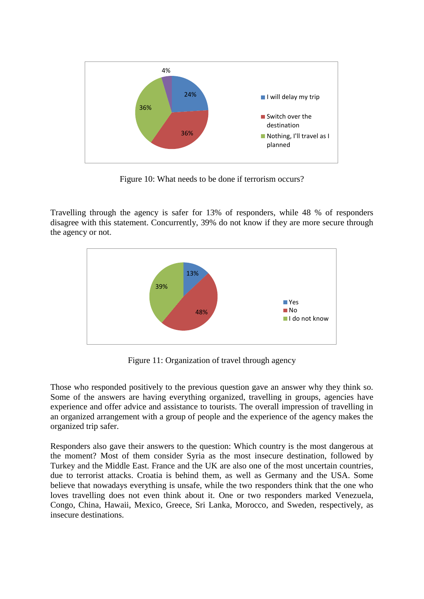

Figure 10: What needs to be done if terrorism occurs?

Travelling through the agency is safer for 13% of responders, while 48 % of responders disagree with this statement. Concurrently, 39% do not know if they are more secure through the agency or not.



Figure 11: Organization of travel through agency

Those who responded positively to the previous question gave an answer why they think so. Some of the answers are having everything organized, travelling in groups, agencies have experience and offer advice and assistance to tourists. The overall impression of travelling in an organized arrangement with a group of people and the experience of the agency makes the organized trip safer.

Responders also gave their answers to the question: Which country is the most dangerous at the moment? Most of them consider Syria as the most insecure destination, followed by Turkey and the Middle East. France and the UK are also one of the most uncertain countries, due to terrorist attacks. Croatia is behind them, as well as Germany and the USA. Some believe that nowadays everything is unsafe, while the two responders think that the one who loves travelling does not even think about it. One or two responders marked Venezuela, Congo, China, Hawaii, Mexico, Greece, Sri Lanka, Morocco, and Sweden, respectively, as insecure destinations.